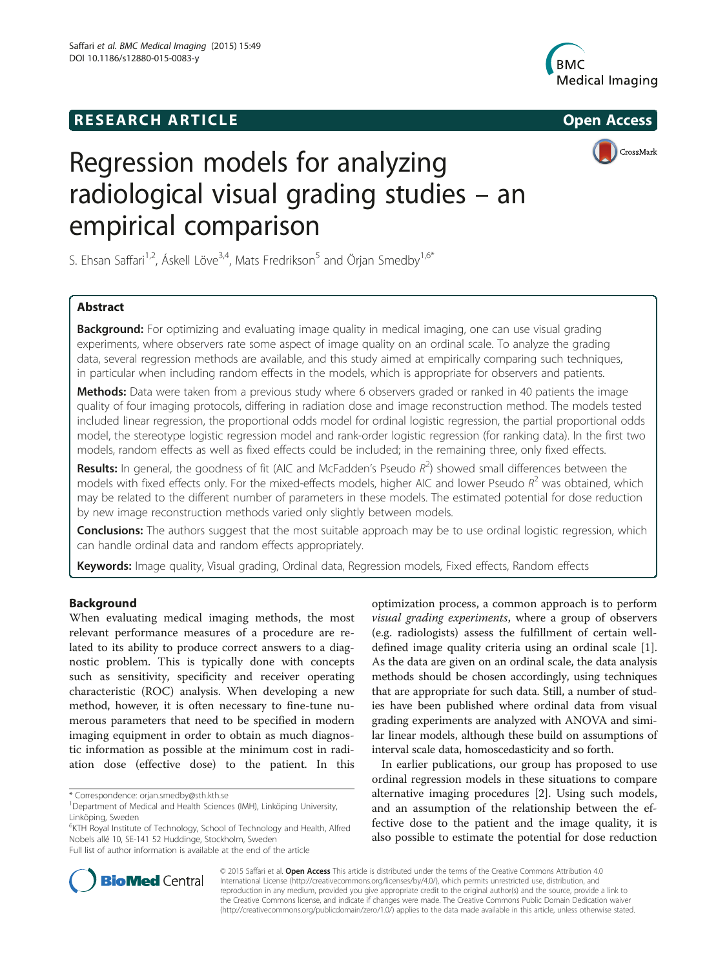# **RESEARCH ARTICLE Example 2014 12:30 The SEAR CHA RESEARCH ARTICLE**





# Regression models for analyzing radiological visual grading studies – an empirical comparison

S. Ehsan Saffari<sup>1,2</sup>, Áskell Löve<sup>3,4</sup>, Mats Fredrikson<sup>5</sup> and Örjan Smedby<sup>1,6\*</sup>

# Abstract

Background: For optimizing and evaluating image quality in medical imaging, one can use visual grading experiments, where observers rate some aspect of image quality on an ordinal scale. To analyze the grading data, several regression methods are available, and this study aimed at empirically comparing such techniques, in particular when including random effects in the models, which is appropriate for observers and patients.

Methods: Data were taken from a previous study where 6 observers graded or ranked in 40 patients the image quality of four imaging protocols, differing in radiation dose and image reconstruction method. The models tested included linear regression, the proportional odds model for ordinal logistic regression, the partial proportional odds model, the stereotype logistic regression model and rank-order logistic regression (for ranking data). In the first two models, random effects as well as fixed effects could be included; in the remaining three, only fixed effects.

Results: In general, the goodness of fit (AIC and McFadden's Pseudo R<sup>2</sup>) showed small differences between the models with fixed effects only. For the mixed-effects models, higher AIC and lower Pseudo  $R^2$  was obtained, which may be related to the different number of parameters in these models. The estimated potential for dose reduction by new image reconstruction methods varied only slightly between models.

**Conclusions:** The authors suggest that the most suitable approach may be to use ordinal logistic regression, which can handle ordinal data and random effects appropriately.

Keywords: Image quality, Visual grading, Ordinal data, Regression models, Fixed effects, Random effects

# Background

When evaluating medical imaging methods, the most relevant performance measures of a procedure are related to its ability to produce correct answers to a diagnostic problem. This is typically done with concepts such as sensitivity, specificity and receiver operating characteristic (ROC) analysis. When developing a new method, however, it is often necessary to fine-tune numerous parameters that need to be specified in modern imaging equipment in order to obtain as much diagnostic information as possible at the minimum cost in radiation dose (effective dose) to the patient. In this

<sup>6</sup>KTH Royal Institute of Technology, School of Technology and Health, Alfred Nobels allé 10, SE-141 52 Huddinge, Stockholm, Sweden Full list of author information is available at the end of the article

optimization process, a common approach is to perform visual grading experiments, where a group of observers (e.g. radiologists) assess the fulfillment of certain welldefined image quality criteria using an ordinal scale [\[1](#page-9-0)]. As the data are given on an ordinal scale, the data analysis methods should be chosen accordingly, using techniques that are appropriate for such data. Still, a number of studies have been published where ordinal data from visual grading experiments are analyzed with ANOVA and similar linear models, although these build on assumptions of interval scale data, homoscedasticity and so forth.

In earlier publications, our group has proposed to use ordinal regression models in these situations to compare alternative imaging procedures [\[2](#page-9-0)]. Using such models, and an assumption of the relationship between the effective dose to the patient and the image quality, it is also possible to estimate the potential for dose reduction



© 2015 Saffari et al. Open Access This article is distributed under the terms of the Creative Commons Attribution 4.0 International License [\(http://creativecommons.org/licenses/by/4.0/](http://creativecommons.org/licenses/by/4.0/)), which permits unrestricted use, distribution, and reproduction in any medium, provided you give appropriate credit to the original author(s) and the source, provide a link to the Creative Commons license, and indicate if changes were made. The Creative Commons Public Domain Dedication waiver [\(http://creativecommons.org/publicdomain/zero/1.0/](http://creativecommons.org/publicdomain/zero/1.0/)) applies to the data made available in this article, unless otherwise stated.

<sup>\*</sup> Correspondence: [orjan.smedby@sth.kth.se](mailto:orjan.smedby@sth.kth.se) <sup>1</sup>

<sup>&</sup>lt;sup>1</sup>Department of Medical and Health Sciences (IMH), Linköping University, Linköping, Sweden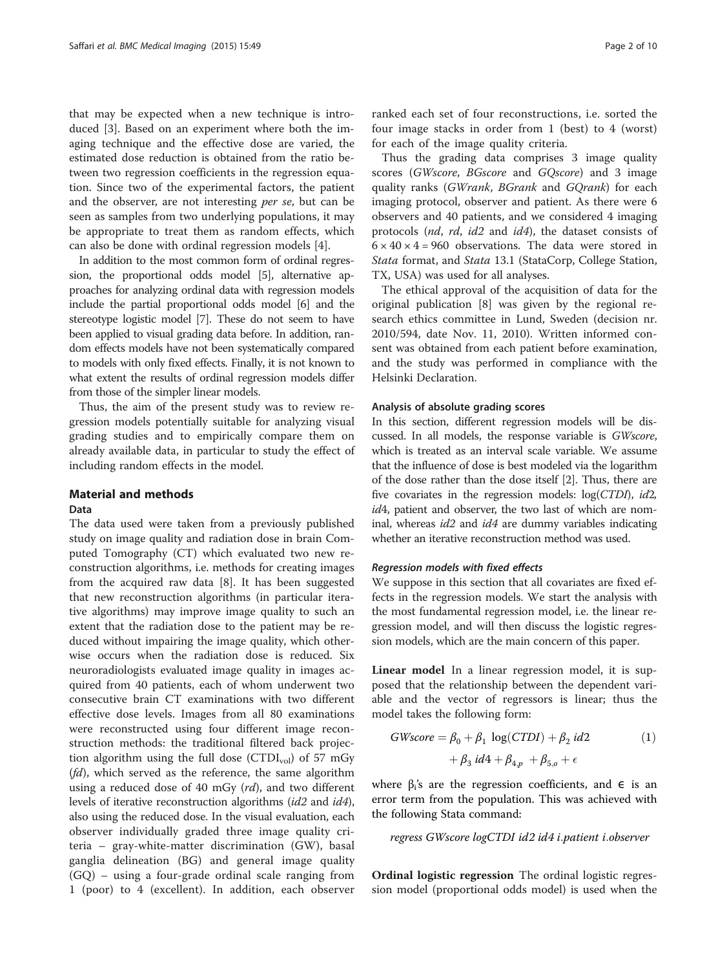that may be expected when a new technique is introduced [\[3](#page-9-0)]. Based on an experiment where both the imaging technique and the effective dose are varied, the estimated dose reduction is obtained from the ratio between two regression coefficients in the regression equation. Since two of the experimental factors, the patient and the observer, are not interesting per se, but can be seen as samples from two underlying populations, it may be appropriate to treat them as random effects, which can also be done with ordinal regression models [[4\]](#page-9-0).

In addition to the most common form of ordinal regression, the proportional odds model [[5](#page-9-0)], alternative approaches for analyzing ordinal data with regression models include the partial proportional odds model [\[6\]](#page-9-0) and the stereotype logistic model [[7](#page-9-0)]. These do not seem to have been applied to visual grading data before. In addition, random effects models have not been systematically compared to models with only fixed effects. Finally, it is not known to what extent the results of ordinal regression models differ from those of the simpler linear models.

Thus, the aim of the present study was to review regression models potentially suitable for analyzing visual grading studies and to empirically compare them on already available data, in particular to study the effect of including random effects in the model.

# Material and methods

#### Data

The data used were taken from a previously published study on image quality and radiation dose in brain Computed Tomography (CT) which evaluated two new reconstruction algorithms, i.e. methods for creating images from the acquired raw data [[8\]](#page-9-0). It has been suggested that new reconstruction algorithms (in particular iterative algorithms) may improve image quality to such an extent that the radiation dose to the patient may be reduced without impairing the image quality, which otherwise occurs when the radiation dose is reduced. Six neuroradiologists evaluated image quality in images acquired from 40 patients, each of whom underwent two consecutive brain CT examinations with two different effective dose levels. Images from all 80 examinations were reconstructed using four different image reconstruction methods: the traditional filtered back projection algorithm using the full dose  $(CTDI_{vol})$  of 57 mGy (*fd*), which served as the reference, the same algorithm using a reduced dose of 40 mGy (rd), and two different levels of iterative reconstruction algorithms (id2 and id4), also using the reduced dose. In the visual evaluation, each observer individually graded three image quality criteria – gray-white-matter discrimination (GW), basal ganglia delineation (BG) and general image quality (GQ) – using a four-grade ordinal scale ranging from 1 (poor) to 4 (excellent). In addition, each observer

ranked each set of four reconstructions, i.e. sorted the four image stacks in order from 1 (best) to 4 (worst) for each of the image quality criteria.

Thus the grading data comprises 3 image quality scores (GWscore, BGscore and GQscore) and 3 image quality ranks (GWrank, BGrank and GQrank) for each imaging protocol, observer and patient. As there were 6 observers and 40 patients, and we considered 4 imaging protocols (nd, rd, id2 and id4), the dataset consists of  $6 \times 40 \times 4 = 960$  observations. The data were stored in Stata format, and Stata 13.1 (StataCorp, College Station, TX, USA) was used for all analyses.

The ethical approval of the acquisition of data for the original publication [\[8](#page-9-0)] was given by the regional research ethics committee in Lund, Sweden (decision nr. 2010/594, date Nov. 11, 2010). Written informed consent was obtained from each patient before examination, and the study was performed in compliance with the Helsinki Declaration.

# Analysis of absolute grading scores

In this section, different regression models will be discussed. In all models, the response variable is GWscore, which is treated as an interval scale variable. We assume that the influence of dose is best modeled via the logarithm of the dose rather than the dose itself [[2](#page-9-0)]. Thus, there are five covariates in the regression models: log(CTDI), id2, id4, patient and observer, the two last of which are nominal, whereas  $id2$  and  $id4$  are dummy variables indicating whether an iterative reconstruction method was used.

## Regression models with fixed effects

We suppose in this section that all covariates are fixed effects in the regression models. We start the analysis with the most fundamental regression model, i.e. the linear regression model, and will then discuss the logistic regression models, which are the main concern of this paper.

Linear model In a linear regression model, it is supposed that the relationship between the dependent variable and the vector of regressors is linear; thus the model takes the following form:

$$
GWscore = \beta_0 + \beta_1 \log (CTDI) + \beta_2 id2
$$
  
+ 
$$
\beta_3 id4 + \beta_{4,p} + \beta_{5,o} + \epsilon
$$
 (1)

where  $\beta_i$ 's are the regression coefficients, and  $\epsilon$  is an error term from the population. This was achieved with the following Stata command:

regress GWscore logCTDI id2 id4 i:patient i:observer

Ordinal logistic regression The ordinal logistic regression model (proportional odds model) is used when the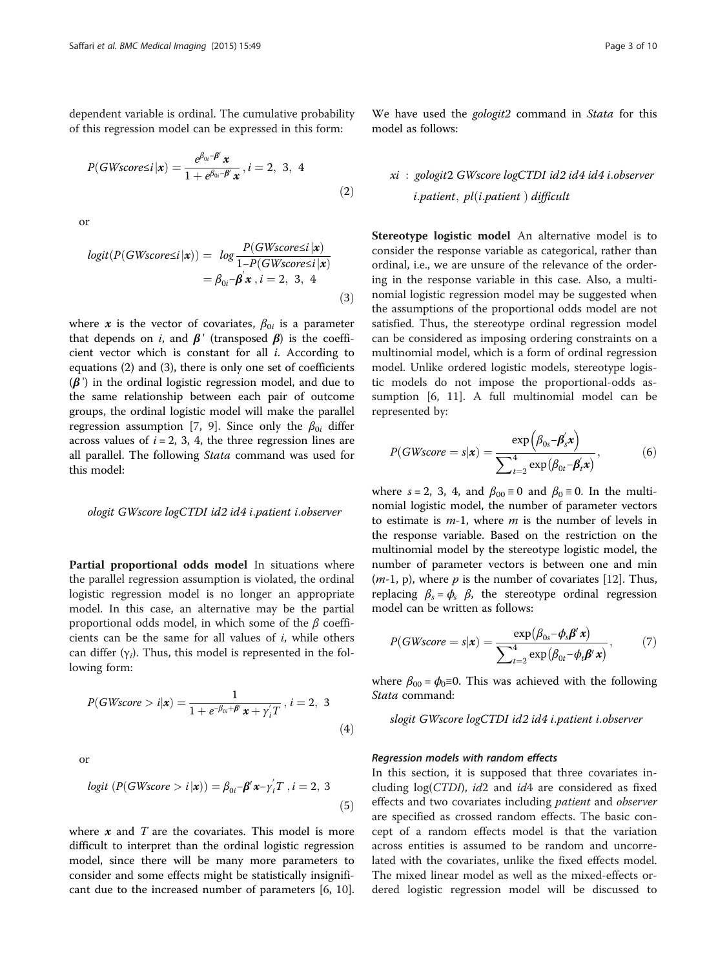dependent variable is ordinal. The cumulative probability of this regression model can be expressed in this form:

$$
P(GWscore \leq i | \mathbf{x}) = \frac{e^{\beta_{0i} - \beta'} \mathbf{x}}{1 + e^{\beta_{0i} - \beta'} \mathbf{x}}, i = 2, 3, 4
$$
\n
$$
(2)
$$

or

$$
logit(P(GWscore \le i | \mathbf{x})) = log \frac{P(GWscore \le i | \mathbf{x})}{1 - P(GWscore \le i | \mathbf{x})}
$$
  
=  $\beta_{0i} - \beta^{'}\mathbf{x}, i = 2, 3, 4$  (3)

where x is the vector of covariates,  $\beta_{0i}$  is a parameter that depends on *i*, and  $\beta$  (transposed  $\beta$ ) is the coefficient vector which is constant for all  $i$ . According to equations (2) and (3), there is only one set of coefficients  $(\beta')$  in the ordinal logistic regression model, and due to the same relationship between each pair of outcome groups, the ordinal logistic model will make the parallel regression assumption [\[7](#page-9-0), [9](#page-9-0)]. Since only the  $\beta_{0i}$  differ across values of  $i = 2, 3, 4$ , the three regression lines are all parallel. The following Stata command was used for this model:

#### ologit GWscore logCTDI id2 id4 i:patient i:observer

Partial proportional odds model In situations where the parallel regression assumption is violated, the ordinal logistic regression model is no longer an appropriate model. In this case, an alternative may be the partial proportional odds model, in which some of the  $\beta$  coefficients can be the same for all values of  $i$ , while others can differ  $(y_i)$ . Thus, this model is represented in the following form:

$$
P(GWscore > i|\mathbf{x}) = \frac{1}{1 + e^{-\beta_{0i} + \beta'}\mathbf{x} + \gamma'_i T}, i = 2, 3
$$
\n(4)

or

$$
logit (P(GWscore > i | \mathbf{x})) = \beta_{0i} - \beta' \mathbf{x} - \gamma'_i T, i = 2, 3
$$
\n(5)

where  $x$  and  $T$  are the covariates. This model is more difficult to interpret than the ordinal logistic regression model, since there will be many more parameters to consider and some effects might be statistically insignificant due to the increased number of parameters [[6,](#page-9-0) [10](#page-9-0)].

We have used the gologit2 command in Stata for this model as follows:

# xi : gologit2 GWscore logCTDI id2 id4 id4 i:observer  $i.path$ ; pl $(i.path)$  difficult

Stereotype logistic model An alternative model is to consider the response variable as categorical, rather than ordinal, i.e., we are unsure of the relevance of the ordering in the response variable in this case. Also, a multinomial logistic regression model may be suggested when the assumptions of the proportional odds model are not satisfied. Thus, the stereotype ordinal regression model can be considered as imposing ordering constraints on a multinomial model, which is a form of ordinal regression model. Unlike ordered logistic models, stereotype logistic models do not impose the proportional-odds assumption [[6, 11](#page-9-0)]. A full multinomial model can be represented by:

$$
P(GWscore = s|\mathbf{x}) = \frac{\exp(\beta_{0s} - \beta_s' \mathbf{x})}{\sum_{t=2}^4 \exp(\beta_{0t} - \beta_t' \mathbf{x})},
$$
(6)

where  $s = 2$ , 3, 4, and  $\beta_{00} \equiv 0$  and  $\beta_0 \equiv 0$ . In the multinomial logistic model, the number of parameter vectors to estimate is  $m-1$ , where  $m$  is the number of levels in the response variable. Based on the restriction on the multinomial model by the stereotype logistic model, the number of parameter vectors is between one and min  $(m-1, p)$ , where p is the number of covariates [\[12](#page-9-0)]. Thus, replacing  $β_s = φ_s β$ , the stereotype ordinal regression model can be written as follows:

$$
P(GWscore = s|\mathbf{x}) = \frac{\exp(\beta_{0s} - \phi_s \mathbf{\beta}' \mathbf{x})}{\sum_{t=2}^4 \exp(\beta_{0t} - \phi_t \mathbf{\beta}' \mathbf{x})},\tag{7}
$$

where  $\beta_{00} = \phi_0 \equiv 0$ . This was achieved with the following Stata command:

## slogit GWscore logCTDI id2 id4 i:patient i:observer

#### Regression models with random effects

In this section, it is supposed that three covariates including log(CTDI), id2 and id4 are considered as fixed effects and two covariates including patient and observer are specified as crossed random effects. The basic concept of a random effects model is that the variation across entities is assumed to be random and uncorrelated with the covariates, unlike the fixed effects model. The mixed linear model as well as the mixed-effects ordered logistic regression model will be discussed to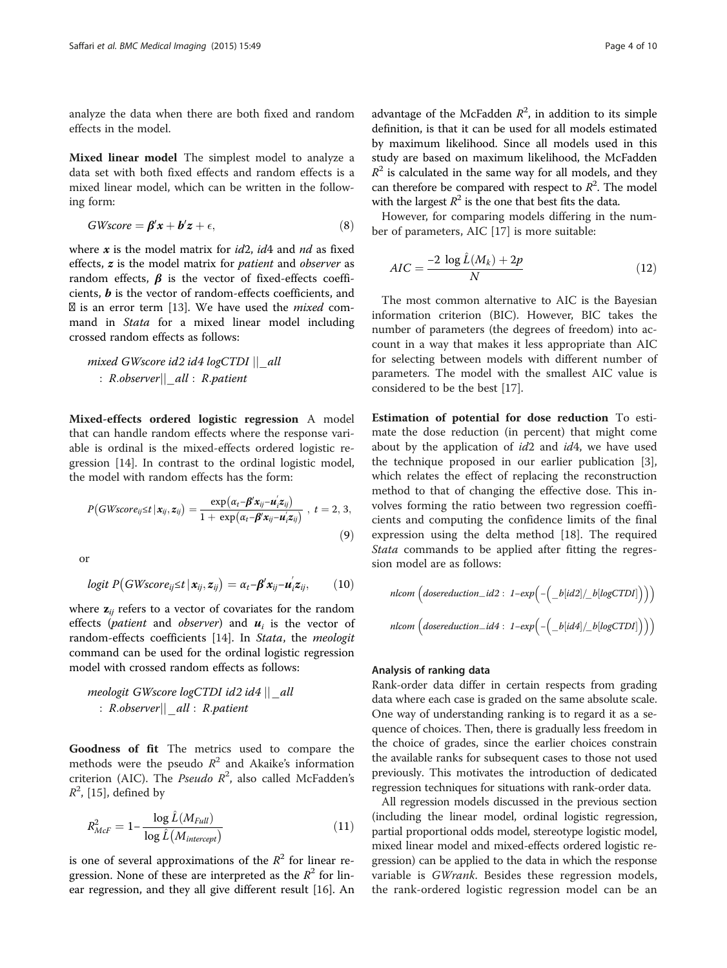analyze the data when there are both fixed and random effects in the model.

Mixed linear model The simplest model to analyze a data set with both fixed effects and random effects is a mixed linear model, which can be written in the following form:

$$
GWscore = \beta' x + b' z + \epsilon,
$$
\n(8)

where  $x$  is the model matrix for  $id2$ ,  $id4$  and  $nd$  as fixed effects, z is the model matrix for patient and observer as random effects,  $\beta$  is the vector of fixed-effects coefficients,  $\boldsymbol{b}$  is the vector of random-effects coefficients, and  $\boxtimes$  is an error term [[13\]](#page-9-0). We have used the *mixed* command in Stata for a mixed linear model including crossed random effects as follows:

mixed GWscore id2 id4 logCTDI jjall : <sup>R</sup>:observerjjall : R:patient

Mixed-effects ordered logistic regression A model that can handle random effects where the response variable is ordinal is the mixed-effects ordered logistic regression [[14](#page-9-0)]. In contrast to the ordinal logistic model, the model with random effects has the form:

$$
P(GWscore_{ij} \leq t | \mathbf{x}_{ij}, \mathbf{z}_{ij}) = \frac{\exp(\alpha_t - \beta' \mathbf{x}_{ij} - \mathbf{u}_i' \mathbf{z}_{ij})}{1 + \exp(\alpha_t - \beta' \mathbf{x}_{ij} - \mathbf{u}_i' \mathbf{z}_{ij})}, \ t = 2, 3,
$$
\n(9)

or

$$
logit P\bigl(GWscore_{ij} \leq t | \mathbf{x}_{ij}, \mathbf{z}_{ij}\bigr) = \alpha_t - \beta' \mathbf{x}_{ij} - \mathbf{u}_i' \mathbf{z}_{ij}, \qquad (10)
$$

where  $z_{ii}$  refers to a vector of covariates for the random effects (*patient* and *observer*) and  $u_i$  is the vector of random-effects coefficients [[14\]](#page-9-0). In Stata, the meologit command can be used for the ordinal logistic regression model with crossed random effects as follows:

$$
meologist \t\tGWscore logCTDI id2 id4 ||_all
$$
  
: R.observer||\_all : R. patient

Goodness of fit The metrics used to compare the methods were the pseudo  $R^2$  and Akaike's information criterion (AIC). The Pseudo  $R^2$ , also called McFadden's  $R^2$ , [\[15](#page-9-0)], defined by

$$
R_{McF}^{2} = 1 - \frac{\log \hat{L}(M_{Full})}{\log \hat{L}(M_{intercept})}
$$
\n(11)

is one of several approximations of the  $R^2$  for linear regression. None of these are interpreted as the  $R^2$  for linear regression, and they all give different result [[16](#page-9-0)]. An

advantage of the McFadden  $R^2$ , in addition to its simple definition, is that it can be used for all models estimated by maximum likelihood. Since all models used in this study are based on maximum likelihood, the McFadden  $R^2$  is calculated in the same way for all models, and they can therefore be compared with respect to  $R^2$ . The model with the largest  $R^2$  is the one that best fits the data.

However, for comparing models differing in the number of parameters, AIC [\[17](#page-9-0)] is more suitable:

$$
AIC = \frac{-2 \log \hat{L}(M_k) + 2p}{N} \tag{12}
$$

The most common alternative to AIC is the Bayesian information criterion (BIC). However, BIC takes the number of parameters (the degrees of freedom) into account in a way that makes it less appropriate than AIC for selecting between models with different number of parameters. The model with the smallest AIC value is considered to be the best [[17\]](#page-9-0).

Estimation of potential for dose reduction To estimate the dose reduction (in percent) that might come about by the application of  $id2$  and  $id4$ , we have used the technique proposed in our earlier publication [\[3](#page-9-0)], which relates the effect of replacing the reconstruction method to that of changing the effective dose. This involves forming the ratio between two regression coefficients and computing the confidence limits of the final expression using the delta method [[18](#page-9-0)]. The required Stata commands to be applied after fitting the regression model are as follows:

$$
nlcom (dosereduction\_id2: 1-exp\Big(-\Big(-b[id2]/_b[logCTDI]\Big)\Big))
$$
  

$$
nlcom (dosereduction\_id4: 1-exp\Big(-\Big(-b[id4]/_b[logCTDI]\Big)\Big))
$$

# Analysis of ranking data

Rank-order data differ in certain respects from grading data where each case is graded on the same absolute scale. One way of understanding ranking is to regard it as a sequence of choices. Then, there is gradually less freedom in the choice of grades, since the earlier choices constrain the available ranks for subsequent cases to those not used previously. This motivates the introduction of dedicated regression techniques for situations with rank-order data.

All regression models discussed in the previous section (including the linear model, ordinal logistic regression, partial proportional odds model, stereotype logistic model, mixed linear model and mixed-effects ordered logistic regression) can be applied to the data in which the response variable is GWrank. Besides these regression models, the rank-ordered logistic regression model can be an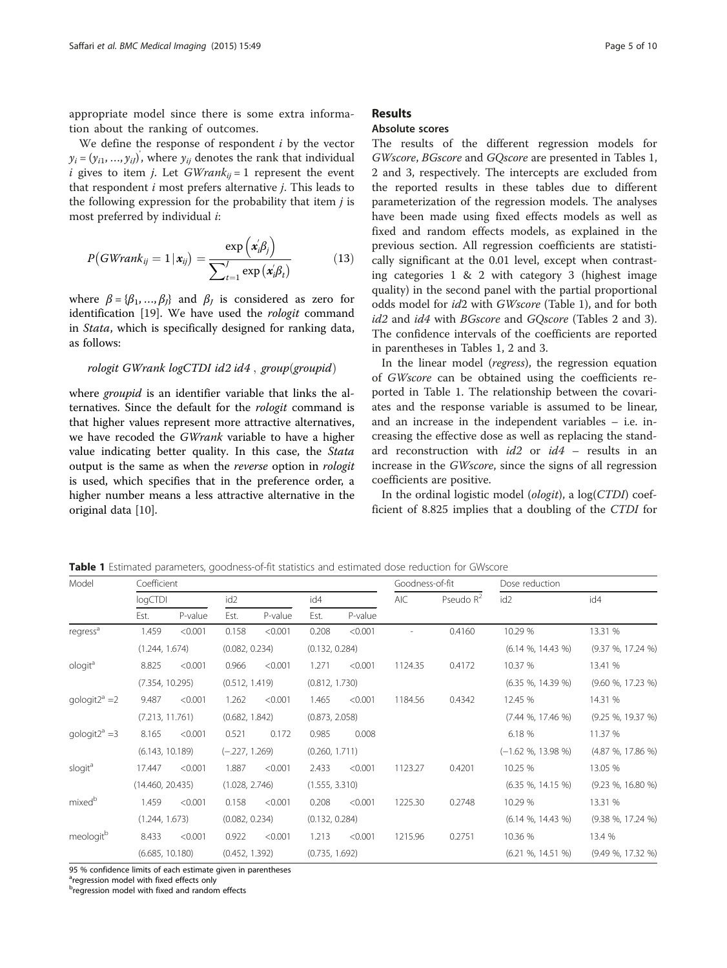<span id="page-4-0"></span>appropriate model since there is some extra information about the ranking of outcomes.

We define the response of respondent  $i$  by the vector  $y_i = (y_{i1}, ..., y_{ij})$ , where  $y_{ij}$  denotes the rank that individual i gives to item j. Let  $GWrank_{ii} = 1$  represent the event that respondent  $i$  most prefers alternative  $j$ . This leads to the following expression for the probability that item  $j$  is most preferred by individual i:

$$
P(GWrank_{ij} = 1 | \mathbf{x}_{ij}) = \frac{\exp\left(\mathbf{x}'_i \beta_j\right)}{\sum_{t=1}^{J} \exp\left(\mathbf{x}'_i \beta_t\right)}
$$
(13)

where  $\beta = {\beta_1, ..., \beta_l}$  and  $\beta_l$  is considered as zero for identification [\[19\]](#page-9-0). We have used the *rologit* command in Stata, which is specifically designed for ranking data, as follows:

#### rologit GWrank logCTDI id2 id4, group(groupid)

where *groupid* is an identifier variable that links the alternatives. Since the default for the rologit command is that higher values represent more attractive alternatives, we have recoded the GWrank variable to have a higher value indicating better quality. In this case, the Stata output is the same as when the reverse option in rologit is used, which specifies that in the preference order, a higher number means a less attractive alternative in the original data [[10\]](#page-9-0).

# Results

# Absolute scores

The results of the different regression models for GWscore, BGscore and GQscore are presented in Tables 1, [2](#page-5-0) and [3,](#page-5-0) respectively. The intercepts are excluded from the reported results in these tables due to different parameterization of the regression models. The analyses have been made using fixed effects models as well as fixed and random effects models, as explained in the previous section. All regression coefficients are statistically significant at the 0.01 level, except when contrasting categories 1 & 2 with category 3 (highest image quality) in the second panel with the partial proportional odds model for id2 with GWscore (Table 1), and for both id2 and id4 with BGscore and GOscore (Tables [2](#page-5-0) and [3](#page-5-0)). The confidence intervals of the coefficients are reported in parentheses in Tables 1, [2](#page-5-0) and [3.](#page-5-0)

In the linear model (regress), the regression equation of GWscore can be obtained using the coefficients reported in Table 1. The relationship between the covariates and the response variable is assumed to be linear, and an increase in the independent variables – i.e. increasing the effective dose as well as replacing the standard reconstruction with  $id2$  or  $id4$  – results in an increase in the GWscore, since the signs of all regression coefficients are positive.

In the ordinal logistic model (ologit), a log(CTDI) coefficient of 8.825 implies that a doubling of the CTDI for

Table 1 Estimated parameters, goodness-of-fit statistics and estimated dose reduction for GWscore

| Model                 | Coefficient      |         |                  |         |                |         | Goodness-of-fit |              | Dose reduction         |                        |
|-----------------------|------------------|---------|------------------|---------|----------------|---------|-----------------|--------------|------------------------|------------------------|
|                       | logCTDI          |         | id2              |         | id4            |         | AIC             | Pseudo $R^2$ | id <sub>2</sub>        | id4                    |
|                       | Est.             | P-value | Est.             | P-value | Est.           | P-value |                 |              |                        |                        |
| regress <sup>a</sup>  | 1.459            | < 0.001 | 0.158            | < 0.001 | 0.208          | < 0.001 |                 | 0.4160       | 10.29 %                | 13.31 %                |
|                       | (1.244, 1.674)   |         | (0.082, 0.234)   |         | (0.132, 0.284) |         |                 |              | $(6.14\% , 14.43\% )$  | $(9.37 \% , 17.24 \%)$ |
| ologit <sup>a</sup>   | 8.825            | < 0.001 | 0.966            | < 0.001 | 1.271          | < 0.001 | 1124.35         | 0.4172       | 10.37 %                | 13.41 %                |
|                       | (7.354, 10.295)  |         | (0.512, 1.419)   |         | (0.812, 1.730) |         |                 |              | $(6.35\% , 14.39\% )$  | $(9.60 \%$ , 17.23 %)  |
| $q$ ologit $2^a = 2$  | 9.487            | < 0.001 | 1.262            | < 0.001 | 1.465          | < 0.001 | 1184.56         | 0.4342       | 12.45 %                | 14.31 %                |
|                       | (7.213, 11.761)  |         | (0.682, 1.842)   |         | (0.873, 2.058) |         |                 |              | $(7.44 \% , 17.46 \%)$ | (9.25 %, 19.37 %)      |
| $q$ ologit $2^a = 3$  | 8.165            | < 0.001 | 0.521            | 0.172   | 0.985          | 0.008   |                 |              | 6.18 %                 | 11.37 %                |
|                       | (6.143, 10.189)  |         | $(-.227, 1.269)$ |         | (0.260, 1.711) |         |                 |              | $(-1.62 %, 13.98 %)$   | $(4.87 \% , 17.86 \%)$ |
| slogit <sup>a</sup>   | 17.447           | < 0.001 | 1.887            | < 0.001 | 2.433          | < 0.001 | 1123.27         | 0.4201       | 10.25 %                | 13.05 %                |
|                       | (14.460, 20.435) |         | (1.028, 2.746)   |         | (1.555, 3.310) |         |                 |              | $(6.35\% , 14.15\% )$  | $(9.23\% , 16.80\%)$   |
| mixed <sup>b</sup>    | 1.459            | < 0.001 | 0.158            | < 0.001 | 0.208          | < 0.001 | 1225.30         | 0.2748       | 10.29 %                | 13.31 %                |
|                       | (1.244, 1.673)   |         | (0.082, 0.234)   |         | (0.132, 0.284) |         |                 |              | $(6.14\%$ , 14.43 %)   | $(9.38\%$ , 17.24 %)   |
| meologit <sup>b</sup> | 8.433            | < 0.001 | 0.922            | < 0.001 | 1.213          | < 0.001 | 1215.96         | 0.2751       | 10.36 %                | 13.4 %                 |
|                       | (6.685, 10.180)  |         | (0.452, 1.392)   |         | (0.735, 1.692) |         |                 |              | $(6.21 \% 14.51 \%)$   | (9.49 %, 17.32 %)      |

95 % confidence limits of each estimate given in parentheses

<sup>a</sup>regression model with fixed effects only

bregression model with fixed and random effects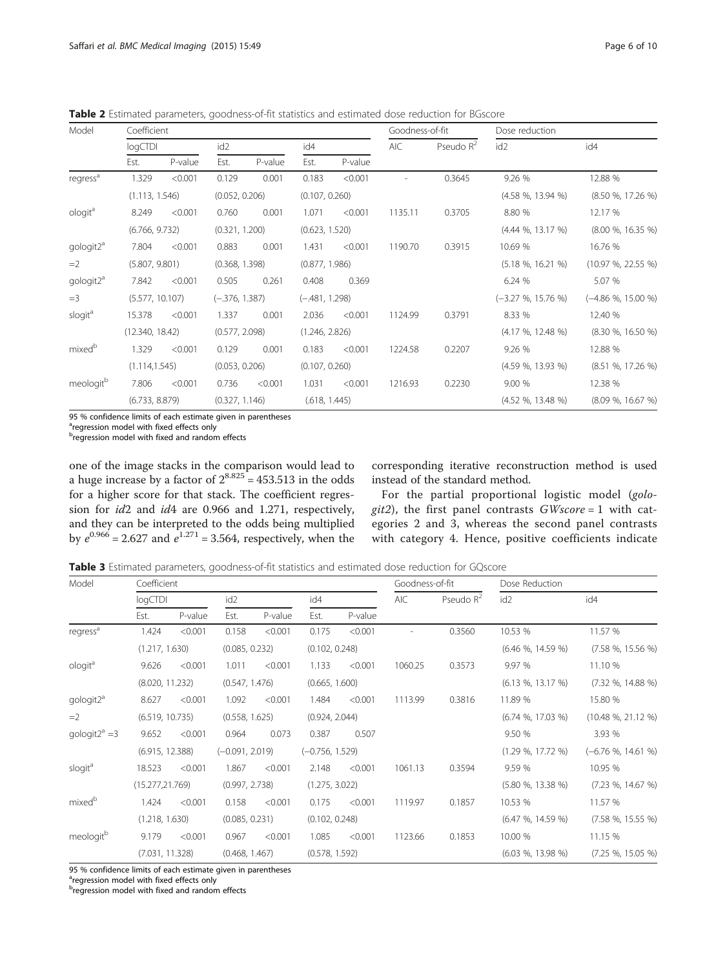<span id="page-5-0"></span>Table 2 Estimated parameters, goodness-of-fit statistics and estimated dose reduction for BGscore

| Model                 | Coefficient     |         |                  |         |                  |         | Goodness-of-fit |              | Dose reduction         |                        |
|-----------------------|-----------------|---------|------------------|---------|------------------|---------|-----------------|--------------|------------------------|------------------------|
|                       | logCTDI         |         | id2              |         | id4              |         | <b>AIC</b>      | Pseudo $R^2$ | id <sub>2</sub>        | id4                    |
|                       | Est.            | P-value | Est.             | P-value | Est.             | P-value |                 |              |                        |                        |
| regress <sup>a</sup>  | 1.329           | < 0.001 | 0.129            | 0.001   | 0.183            | < 0.001 |                 | 0.3645       | 9.26 %                 | 12.88 %                |
|                       | (1.113, 1.546)  |         | (0.052, 0.206)   |         | (0.107, 0.260)   |         |                 |              | $(4.58\%$ , 13.94 %)   | (8.50 %, 17.26 %)      |
| ologit <sup>a</sup>   | 8.249           | < 0.001 | 0.760            | 0.001   | 1.071            | < 0.001 | 1135.11         | 0.3705       | 8.80 %                 | 12.17 %                |
|                       | (6.766, 9.732)  |         | (0.321, 1.200)   |         | (0.623, 1.520)   |         |                 |              | $(4.44\%$ , 13.17 %)   | (8.00 %, 16.35 %)      |
| gologit2 <sup>a</sup> | 7.804           | < 0.001 | 0.883            | 0.001   | 1.431            | < 0.001 | 1190.70         | 0.3915       | 10.69 %                | 16.76 %                |
| $=2$                  | (5.807, 9.801)  |         | (0.368, 1.398)   |         | (0.877, 1.986)   |         |                 |              | $(5.18\% , 16.21\%)$   | (10.97 %, 22.55 %)     |
| gologit2 <sup>a</sup> | 7.842           | < 0.001 | 0.505            | 0.261   | 0.408            | 0.369   |                 |              | 6.24%                  | 5.07 %                 |
| $=$ 3                 | (5.577, 10.107) |         | $(-.376, 1.387)$ |         | $(-.481, 1.298)$ |         |                 |              | $(-3.27 %, 15.76 %)$   | $(-4.86 \%$ , 15.00 %) |
| slogit <sup>a</sup>   | 15.378          | < 0.001 | 1.337            | 0.001   | 2.036            | < 0.001 | 1124.99         | 0.3791       | 8.33 %                 | 12.40 %                |
|                       | (12.340, 18.42) |         | (0.577, 2.098)   |         | (1.246, 2.826)   |         |                 |              | $(4.17 \% 12.48 \%)$   | $(8.30\% , 16.50\%)$   |
| mixed <sup>b</sup>    | 1.329           | < 0.001 | 0.129            | 0.001   | 0.183            | < 0.001 | 1224.58         | 0.2207       | 9.26 %                 | 12.88 %                |
|                       | (1.114, 1.545)  |         | (0.053, 0.206)   |         | (0.107, 0.260)   |         |                 |              | $(4.59\% , 13.93\% )$  | (8.51 %, 17.26 %)      |
| meologit <sup>b</sup> | 7.806           | < 0.001 | 0.736            | < 0.001 | 1.031            | < 0.001 | 1216.93         | 0.2230       | 9.00 %                 | 12.38 %                |
|                       | (6.733, 8.879)  |         | (0.327, 1.146)   |         | (.618, 1.445)    |         |                 |              | $(4.52 \% , 13.48 \%)$ | $(8.09\%$ , 16.67 %)   |

95 % confidence limits of each estimate given in parentheses

<sup>a</sup>regression model with fixed effects only

**b**regression model with fixed and random effects

one of the image stacks in the comparison would lead to a huge increase by a factor of  $2^{8.825}$  = 453.513 in the odds for a higher score for that stack. The coefficient regression for id2 and id4 are 0.966 and 1.271, respectively, and they can be interpreted to the odds being multiplied by  $e^{0.966}$  = 2.627 and  $e^{1.271}$  = 3.564, respectively, when the

corresponding iterative reconstruction method is used instead of the standard method.

For the partial proportional logistic model (gologit2), the first panel contrasts  $GWscore = 1$  with categories 2 and 3, whereas the second panel contrasts with category 4. Hence, positive coefficients indicate

Table 3 Estimated parameters, goodness-of-fit statistics and estimated dose reduction for GQscore

| Model                 | Coefficient      |         |                   |         |                   |         | Goodness-of-fit |              | Dose Reduction         |                        |
|-----------------------|------------------|---------|-------------------|---------|-------------------|---------|-----------------|--------------|------------------------|------------------------|
|                       | logCTDI          |         | id <sub>2</sub>   |         | id4               |         | AIC             | Pseudo $R^2$ | id2                    | id4                    |
|                       | Est.             | P-value | Est.              | P-value | Est.              | P-value |                 |              |                        |                        |
| regress <sup>a</sup>  | 1.424            | < 0.001 | 0.158             | < 0.001 | 0.175             | < 0.001 |                 | 0.3560       | 10.53 %                | 11.57 %                |
|                       | (1.217, 1.630)   |         | (0.085, 0.232)    |         | (0.102, 0.248)    |         |                 |              | $(6.46\%$ , 14.59 %)   | $(7.58\% , 15.56\%)$   |
| ologit <sup>a</sup>   | 9.626            | < 0.001 | 1.011             | < 0.001 | 1.133             | < 0.001 | 1060.25         | 0.3573       | 9.97 %                 | 11.10 %                |
|                       | (8.020, 11.232)  |         | (0.547, 1.476)    |         | (0.665, 1.600)    |         |                 |              | $(6.13\%$ , 13.17 %)   | $(7.32 \% , 14.88 \%)$ |
| gologit2 <sup>ª</sup> | 8.627            | < 0.001 | 1.092             | < 0.001 | 1.484             | < 0.001 | 1113.99         | 0.3816       | 11.89 %                | 15.80 %                |
| $=2$                  | (6.519, 10.735)  |         | (0.558, 1.625)    |         | (0.924, 2.044)    |         |                 |              | $(6.74\% , 17.03\% )$  | (10.48 %, 21.12 %)     |
| $q$ ologit $2^a = 3$  | 9.652            | < 0.001 | 0.964             | 0.073   | 0.387             | 0.507   |                 |              | 9.50 %                 | 3.93 %                 |
|                       | (6.915, 12.388)  |         | $(-0.091, 2.019)$ |         | $(-0.756, 1.529)$ |         |                 |              | $(1.29\%$ , 17.72 %)   | $(-6.76\% , 14.61\%)$  |
| slogit <sup>a</sup>   | 18.523           | < 0.001 | 1.867             | < 0.001 | 2.148             | < 0.001 | 1061.13         | 0.3594       | 9.59 %                 | 10.95 %                |
|                       | (15.277, 21.769) |         | (0.997, 2.738)    |         | (1.275, 3.022)    |         |                 |              | $(5.80 \%$ , 13.38 %)  | $(7.23 \% , 14.67 \%)$ |
| mixed <sup>b</sup>    | 1.424            | < 0.001 | 0.158             | < 0.001 | 0.175             | < 0.001 | 1119.97         | 0.1857       | 10.53 %                | 11.57 %                |
|                       | (1.218, 1.630)   |         | (0.085, 0.231)    |         | (0.102, 0.248)    |         |                 |              | $(6.47 \% , 14.59 \%)$ | $(7.58\% , 15.55\%)$   |
| meologit <sup>b</sup> | 9.179            | < 0.001 | 0.967             | < 0.001 | 1.085             | < 0.001 | 1123.66         | 0.1853       | 10.00 %                | 11.15 %                |
|                       | (7.031, 11.328)  |         | (0.468, 1.467)    |         | (0.578, 1.592)    |         |                 |              | $(6.03 \% 13.98 \%)$   | $(7.25 \% , 15.05 \%)$ |

95 % confidence limits of each estimate given in parentheses

<sup>a</sup>regression model with fixed effects only

bregression model with fixed and random effects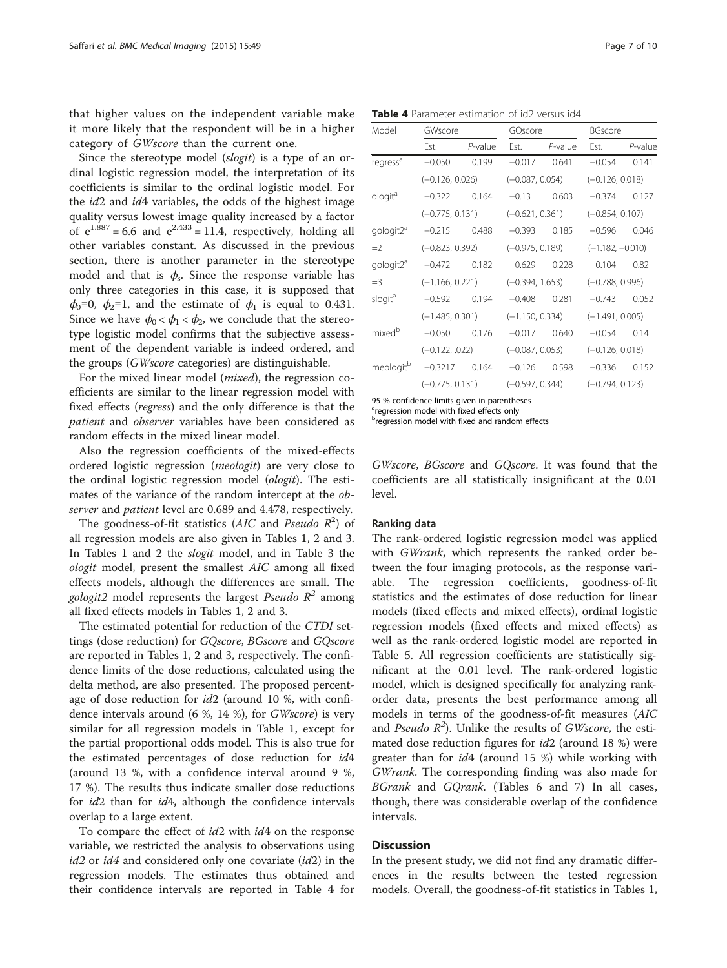<span id="page-6-0"></span>that higher values on the independent variable make it more likely that the respondent will be in a higher category of GWscore than the current one.

Since the stereotype model (slogit) is a type of an ordinal logistic regression model, the interpretation of its coefficients is similar to the ordinal logistic model. For the *id*2 and *id*4 variables, the odds of the highest image quality versus lowest image quality increased by a factor of  $e^{1.887}$  = 6.6 and  $e^{2.433}$  = 11.4, respectively, holding all other variables constant. As discussed in the previous section, there is another parameter in the stereotype model and that is  $\phi_s$ . Since the response variable has only three categories in this case, it is supposed that  $\phi_0 \equiv 0$ ,  $\phi_2 \equiv 1$ , and the estimate of  $\phi_1$  is equal to 0.431. Since we have  $\phi_0 < \phi_1 < \phi_2$ , we conclude that the stereotype logistic model confirms that the subjective assessment of the dependent variable is indeed ordered, and the groups (GWscore categories) are distinguishable.

For the mixed linear model (mixed), the regression coefficients are similar to the linear regression model with fixed effects (regress) and the only difference is that the patient and observer variables have been considered as random effects in the mixed linear model.

Also the regression coefficients of the mixed-effects ordered logistic regression (meologit) are very close to the ordinal logistic regression model (ologit). The estimates of the variance of the random intercept at the observer and patient level are 0.689 and 4.478, respectively.

The goodness-of-fit statistics (AIC and Pseudo  $R^2$ ) of all regression models are also given in Tables [1,](#page-4-0) [2](#page-5-0) and [3](#page-5-0). In Tables [1](#page-4-0) and [2](#page-5-0) the slogit model, and in Table [3](#page-5-0) the ologit model, present the smallest AIC among all fixed effects models, although the differences are small. The *gologit2* model represents the largest *Pseudo*  $R^2$  among all fixed effects models in Tables [1,](#page-4-0) [2](#page-5-0) and [3.](#page-5-0)

The estimated potential for reduction of the CTDI settings (dose reduction) for GQscore, BGscore and GQscore are reported in Tables [1](#page-4-0), [2](#page-5-0) and [3,](#page-5-0) respectively. The confidence limits of the dose reductions, calculated using the delta method, are also presented. The proposed percentage of dose reduction for id2 (around 10 %, with confidence intervals around (6 %, 14 %), for GWscore) is very similar for all regression models in Table [1,](#page-4-0) except for the partial proportional odds model. This is also true for the estimated percentages of dose reduction for id4 (around 13 %, with a confidence interval around 9 %, 17 %). The results thus indicate smaller dose reductions for *id*2 than for *id*4, although the confidence intervals overlap to a large extent.

To compare the effect of *id*2 with *id*4 on the response variable, we restricted the analysis to observations using  $id2$  or  $id4$  and considered only one covariate ( $id2$ ) in the regression models. The estimates thus obtained and their confidence intervals are reported in Table 4 for

| Table 4 Parameter estimation of id2 versus id4 |  |
|------------------------------------------------|--|
|------------------------------------------------|--|

| Model                 | GWscore           |            | GQscore           |            | <b>BGscore</b>     |            |
|-----------------------|-------------------|------------|-------------------|------------|--------------------|------------|
|                       | Fst.              | $P$ -value | Fst.              | $P$ -value | Est.               | $P$ -value |
| regress <sup>a</sup>  | $-0.050$          | 0.199      | $-0.017$          | 0.641      | $-0.054$           | 0.141      |
|                       | $(-0.126, 0.026)$ |            | $(-0.087, 0.054)$ |            | $(-0.126, 0.018)$  |            |
| ologit <sup>a</sup>   | $-0.322$          | 0.164      | $-0.13$           | 0.603      | $-0.374$           | 0.127      |
|                       | $(-0.775, 0.131)$ |            | $(-0.621, 0.361)$ |            | $(-0.854, 0.107)$  |            |
| gologit2 <sup>d</sup> | $-0.215$          | 0.488      | $-0.393$ 0.185    |            | $-0.596$ 0.046     |            |
| $=2$                  | $(-0.823, 0.392)$ |            | $(-0.975, 0.189)$ |            | $(-1.182, -0.010)$ |            |
| qologit2 <sup>a</sup> | $-0.472$          | 0.182      | 0.629             | 0.228      | 0.104              | 0.82       |
| $=$ 3                 | $(-1.166, 0.221)$ |            | $(-0.394, 1.653)$ |            | $(-0.788, 0.996)$  |            |
| slogit <sup>a</sup>   | $-0.592$          | 0.194      | $-0.408$          | 0.281      | $-0.743$           | 0.052      |
|                       | $(-1.485, 0.301)$ |            | $(-1.150, 0.334)$ |            | $(-1.491, 0.005)$  |            |
| mixed <sup>b</sup>    | $-0.050$          | 0.176      | $-0.017$ 0.640    |            | $-0.054$ 0.14      |            |
|                       | $(-0.122, .022)$  |            | $(-0.087, 0.053)$ |            | $(-0.126, 0.018)$  |            |
| meologit <sup>b</sup> | $-0.3217$ 0.164   |            | $-0.126$          | 0.598      | $-0.336$           | 0.152      |
|                       | $(-0.775, 0.131)$ |            | $(-0.597, 0.344)$ |            | $(-0.794, 0.123)$  |            |

95 % confidence limits given in parentheses

<sup>a</sup>regression model with fixed effects only

bregression model with fixed and random effects

GWscore, BGscore and GQscore. It was found that the coefficients are all statistically insignificant at the 0.01 level.

#### Ranking data

The rank-ordered logistic regression model was applied with GWrank, which represents the ranked order between the four imaging protocols, as the response variable. The regression coefficients, goodness-of-fit statistics and the estimates of dose reduction for linear models (fixed effects and mixed effects), ordinal logistic regression models (fixed effects and mixed effects) as well as the rank-ordered logistic model are reported in Table [5](#page-7-0). All regression coefficients are statistically significant at the 0.01 level. The rank-ordered logistic model, which is designed specifically for analyzing rankorder data, presents the best performance among all models in terms of the goodness-of-fit measures (AIC and Pseudo  $R^2$ ). Unlike the results of GWscore, the estimated dose reduction figures for id2 (around 18 %) were greater than for id4 (around 15 %) while working with GWrank. The corresponding finding was also made for BGrank and GQrank. (Tables [6](#page-7-0) and [7](#page-8-0)) In all cases, though, there was considerable overlap of the confidence intervals.

# **Discussion**

In the present study, we did not find any dramatic differences in the results between the tested regression models. Overall, the goodness-of-fit statistics in Tables [1](#page-4-0),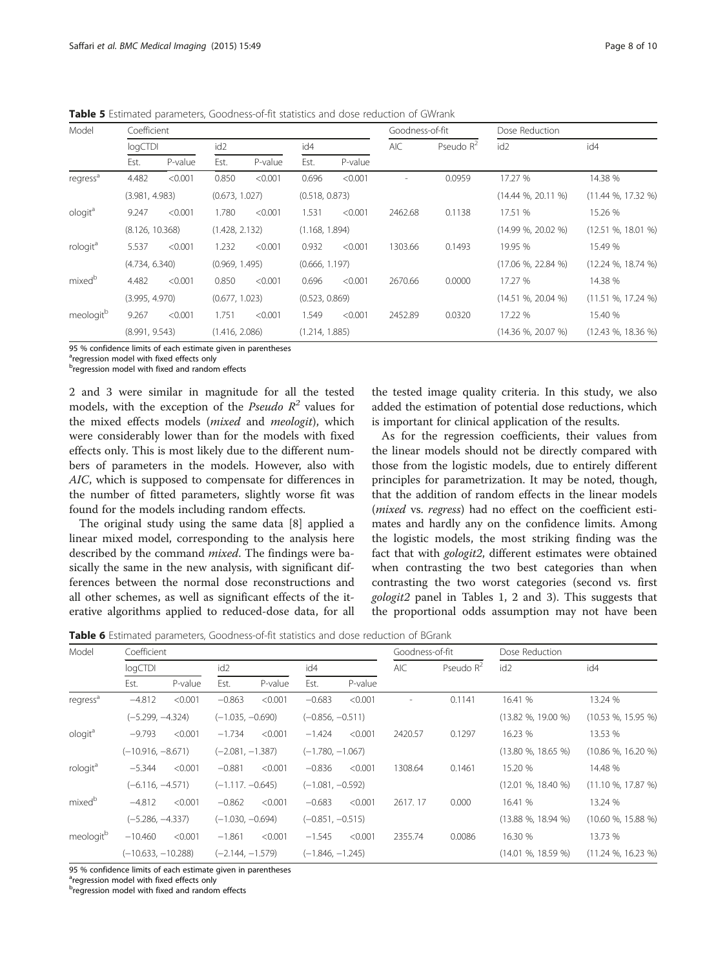<span id="page-7-0"></span>Table 5 Estimated parameters, Goodness-of-fit statistics and dose reduction of GWrank

| Model                 | Coefficient     |         |                 |         |                |         | Goodness-of-fit |              | Dose Reduction        |                         |
|-----------------------|-----------------|---------|-----------------|---------|----------------|---------|-----------------|--------------|-----------------------|-------------------------|
|                       | logCTDI         |         | id <sub>2</sub> |         | id4            |         | <b>AIC</b>      | Pseudo $R^2$ | id2                   | id4                     |
|                       | Est.            | P-value | Est.            | P-value | Est.           | P-value |                 |              |                       |                         |
| regress <sup>a</sup>  | 4.482           | < 0.001 | 0.850           | < 0.001 | 0.696          | < 0.001 | ٠               | 0.0959       | 17.27 %               | 14.38 %                 |
|                       | (3.981, 4.983)  |         | (0.673, 1.027)  |         | (0.518, 0.873) |         |                 |              | $(14.44\%$ , 20.11 %) | $(11.44\%$ , 17.32 %)   |
| ologit <sup>a</sup>   | 9.247           | < 0.001 | 1.780           | < 0.001 | 1.531          | < 0.001 | 2462.68         | 0.1138       | 17.51 %               | 15.26 %                 |
|                       | (8.126, 10.368) |         | (1.428, 2.132)  |         | (1.168, 1.894) |         |                 |              | $(14.99\%$ , 20.02 %) | $(12.51\% , 18.01\%)$   |
| rologit <sup>a</sup>  | 5.537           | < 0.001 | 1.232           | < 0.001 | 0.932          | < 0.001 | 1303.66         | 0.1493       | 19.95 %               | 15.49 %                 |
|                       | (4.734, 6.340)  |         | (0.969, 1.495)  |         | (0.666, 1.197) |         |                 |              | (17.06 %, 22.84 %)    | (12.24 %, 18.74 %)      |
| mixed <sup>b</sup>    | 4.482           | < 0.001 | 0.850           | < 0.001 | 0.696          | < 0.001 | 2670.66         | 0.0000       | 17.27 %               | 14.38 %                 |
|                       | (3.995, 4.970)  |         | (0.677, 1.023)  |         | (0.523, 0.869) |         |                 |              | $(14.51 \% 20.04 \%)$ | $(11.51 \% 17.24 \%)$   |
| meologit <sup>b</sup> | 9.267           | < 0.001 | 1.751           | < 0.001 | 1.549          | < 0.001 | 2452.89         | 0.0320       | 17.22 %               | 15.40 %                 |
|                       | (8.991, 9.543)  |         | (1.416, 2.086)  |         | (1.214, 1.885) |         |                 |              | (14.36 %, 20.07 %)    | $(12.43 \% , 18.36 \%)$ |

95 % confidence limits of each estimate given in parentheses

<sup>a</sup>regression model with fixed effects only

<sup>b</sup>regression model with fixed and random effects

[2](#page-5-0) and [3](#page-5-0) were similar in magnitude for all the tested models, with the exception of the *Pseudo*  $R^2$  values for the mixed effects models (mixed and meologit), which were considerably lower than for the models with fixed effects only. This is most likely due to the different numbers of parameters in the models. However, also with AIC, which is supposed to compensate for differences in the number of fitted parameters, slightly worse fit was found for the models including random effects.

The original study using the same data [[8\]](#page-9-0) applied a linear mixed model, corresponding to the analysis here described by the command mixed. The findings were basically the same in the new analysis, with significant differences between the normal dose reconstructions and all other schemes, as well as significant effects of the iterative algorithms applied to reduced-dose data, for all

the tested image quality criteria. In this study, we also added the estimation of potential dose reductions, which is important for clinical application of the results.

As for the regression coefficients, their values from the linear models should not be directly compared with those from the logistic models, due to entirely different principles for parametrization. It may be noted, though, that the addition of random effects in the linear models (mixed vs. regress) had no effect on the coefficient estimates and hardly any on the confidence limits. Among the logistic models, the most striking finding was the fact that with gologit2, different estimates were obtained when contrasting the two best categories than when contrasting the two worst categories (second vs. first gologit2 panel in Tables [1](#page-4-0), [2](#page-5-0) and [3\)](#page-5-0). This suggests that the proportional odds assumption may not have been

**Table 6** Estimated parameters, Goodness-of-fit statistics and dose reduction of BGrank

| Model                 | Coefficient          |         |                    |         |                    |         | Goodness-of-fit |              | Dose Reduction                         |                                             |
|-----------------------|----------------------|---------|--------------------|---------|--------------------|---------|-----------------|--------------|----------------------------------------|---------------------------------------------|
|                       | logCTDI              |         | id <sub>2</sub>    |         | id4                |         | <b>AIC</b>      | Pseudo $R^2$ | id <sub>2</sub>                        | id4                                         |
|                       | Est.                 | P-value | Est.               | P-value | Est.               | P-value |                 |              |                                        |                                             |
| regress <sup>a</sup>  | $-4.812$             | < 0.001 | $-0.863$           | < 0.001 | $-0.683$           | < 0.001 |                 | 0.1141       | 16.41 %                                | 13.24 %                                     |
|                       | (–5.299, –4.324)     |         | $(-1.035, -0.690)$ |         | $(-0.856, -0.511)$ |         |                 |              | $(13.82 \frac{6}{19.00 \frac{6}{19}})$ | $(10.53 \frac{6}{10.595} \frac{6}{10.505})$ |
| ologit <sup>a</sup>   | $-9.793$             | < 0.001 | $-1.734$           | < 0.001 | $-1.424$           | < 0.001 | 2420.57         | 0.1297       | 16.23 %                                | 13.53 %                                     |
|                       | $(-10.916, -8.671)$  |         | $(-2.081, -1.387)$ |         | $(-1.780, -1.067)$ |         |                 |              | (13.80 %, 18.65 %)                     | (10.86 %, 16.20 %)                          |
| rologit <sup>a</sup>  | $-5.344$             | < 0.001 | $-0.881$           | < 0.001 | $-0.836$           | < 0.001 | 1308.64         | 0.1461       | 15.20 %                                | 14.48 %                                     |
|                       | $(-6.116, -4.571)$   |         | $(-1.117, -0.645)$ |         | $(-1.081, -0.592)$ |         |                 |              | (12.01 %, 18.40 %)                     | $(11.10 \text{ %}, 17.87 \text{ %})$        |
| mixed <sup>b</sup>    | $-4.812$             | < 0.001 | $-0.862$           | < 0.001 | $-0.683$           | < 0.001 | 2617.17         | 0.000        | 16.41 %                                | 13.24 %                                     |
|                       | $(-5.286, -4.337)$   |         | $(-1.030, -0.694)$ |         | $(-0.851, -0.515)$ |         |                 |              | $(13.88\% , 18.94\%)$                  | (10.60 %, 15.88 %)                          |
| meologit <sup>b</sup> | $-10,460$            | < 0.001 | $-1.861$           | < 0.001 | $-1.545$           | < 0.001 | 2355.74         | 0.0086       | 16.30 %                                | 13.73 %                                     |
|                       | $(-10.633, -10.288)$ |         | $(-2.144, -1.579)$ |         | $(-1.846, -1.245)$ |         |                 |              | (14.01 %, 18.59 %)                     | (11.24 %, 16.23 %)                          |

95 % confidence limits of each estimate given in parentheses

<sup>a</sup>regression model with fixed effects only

bregression model with fixed and random effects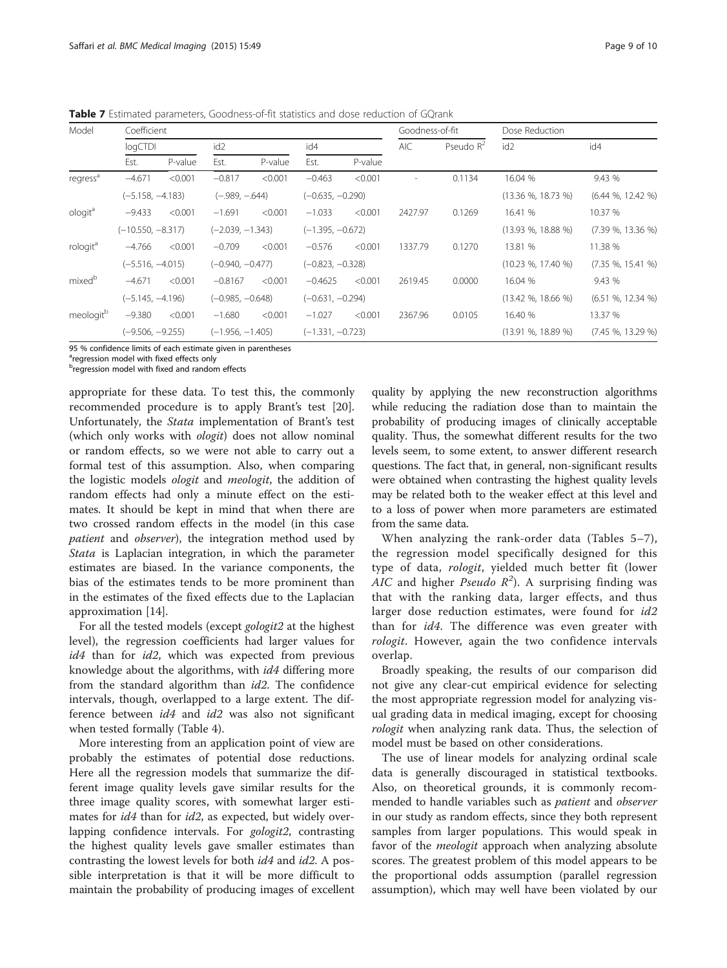<span id="page-8-0"></span>**Table 7** Estimated parameters, Goodness-of-fit statistics and dose reduction of GOrank

| Model                 | Coefficient         |         |                    |         |                    | Goodness-of-fit |                          | Dose Reduction |                            |                       |
|-----------------------|---------------------|---------|--------------------|---------|--------------------|-----------------|--------------------------|----------------|----------------------------|-----------------------|
|                       | logCTDI             |         | id <sub>2</sub>    |         | id4                |                 | <b>AIC</b>               | Pseudo $R^2$   | id2                        | id4                   |
|                       | Est.                | P-value | Est.               | P-value | Est.               | P-value         |                          |                |                            |                       |
| regress <sup>a</sup>  | $-4.671$            | < 0.001 | $-0.817$           | < 0.001 | $-0.463$           | < 0.001         | $\overline{\phantom{a}}$ | 0.1134         | 16.04 %                    | 9.43 %                |
|                       | $(-5.158, -4.183)$  |         | $(-.989, -0.644)$  |         | $(-0.635, -0.290)$ |                 |                          |                | $(13.36\%18.73\%)$         | $(6.44\% , 12.42\% )$ |
| ologit <sup>a</sup>   | $-9.433$            | < 0.001 | $-1.691$           | < 0.001 | $-1.033$           | < 0.001         | 2427.97                  | 0.1269         | 16.41 %                    | 10.37 %               |
|                       | $(-10.550, -8.317)$ |         | $(-2.039, -1.343)$ |         | $(-1.395, -0.672)$ |                 |                          |                | $(13.93\%$ , 18.88 %)      | $(7.39\%$ , 13.36 %)  |
| rologit <sup>a</sup>  | $-4.766$            | < 0.001 | $-0.709$           | < 0.001 | $-0.576$           | < 0.001         | 1337.79                  | 0.1270         | 13.81 %                    | 11.38 %               |
|                       | $(-5.516, -4.015)$  |         | $(-0.940, -0.477)$ |         | $(-0.823, -0.328)$ |                 |                          |                | $(10.23 \, %, 17.40 \, %)$ | $(7.35\% , 15.41\%)$  |
| mixed <sup>b</sup>    | $-4.671$            | < 0.001 | $-0.8167$          | < 0.001 | $-0.4625$          | < 0.001         | 2619.45                  | 0.0000         | 16.04 %                    | 9.43 %                |
|                       | $(-5.145, -4.196)$  |         | $(-0.985, -0.648)$ |         | $(-0.631, -0.294)$ |                 |                          |                | $(13.42 \% 18.66 \%)$      | $(6.51\% , 12.34\%)$  |
| meologit <sup>b</sup> | $-9.380$            | < 0.001 | $-1.680$           | < 0.001 | $-1.027$           | < 0.001         | 2367.96                  | 0.0105         | 16.40 %                    | 13.37 %               |
|                       | $(-9.506, -9.255)$  |         | $(-1.956, -1.405)$ |         | $(-1.331, -0.723)$ |                 |                          |                | $(13.91\%18.89\%)$         | $(7.45 \% 13.29 \%)$  |

95 % confidence limits of each estimate given in parentheses

<sup>a</sup>regression model with fixed effects only

<sup>b</sup>regression model with fixed and random effects

appropriate for these data. To test this, the commonly recommended procedure is to apply Brant's test [\[20](#page-9-0)]. Unfortunately, the Stata implementation of Brant's test (which only works with ologit) does not allow nominal or random effects, so we were not able to carry out a formal test of this assumption. Also, when comparing the logistic models ologit and meologit, the addition of random effects had only a minute effect on the estimates. It should be kept in mind that when there are two crossed random effects in the model (in this case patient and observer), the integration method used by Stata is Laplacian integration, in which the parameter estimates are biased. In the variance components, the bias of the estimates tends to be more prominent than in the estimates of the fixed effects due to the Laplacian approximation [[14](#page-9-0)].

For all the tested models (except gologit2 at the highest level), the regression coefficients had larger values for  $id4$  than for  $id2$ , which was expected from previous knowledge about the algorithms, with id4 differing more from the standard algorithm than id2. The confidence intervals, though, overlapped to a large extent. The difference between id4 and id2 was also not significant when tested formally (Table [4\)](#page-6-0).

More interesting from an application point of view are probably the estimates of potential dose reductions. Here all the regression models that summarize the different image quality levels gave similar results for the three image quality scores, with somewhat larger estimates for id4 than for id2, as expected, but widely overlapping confidence intervals. For gologit2, contrasting the highest quality levels gave smaller estimates than contrasting the lowest levels for both  $id4$  and  $id2$ . A possible interpretation is that it will be more difficult to maintain the probability of producing images of excellent

quality by applying the new reconstruction algorithms while reducing the radiation dose than to maintain the probability of producing images of clinically acceptable quality. Thus, the somewhat different results for the two levels seem, to some extent, to answer different research questions. The fact that, in general, non-significant results were obtained when contrasting the highest quality levels may be related both to the weaker effect at this level and to a loss of power when more parameters are estimated from the same data.

When analyzing the rank-order data (Tables [5](#page-7-0)–7), the regression model specifically designed for this type of data, rologit, yielded much better fit (lower AIC and higher Pseudo  $R^2$ ). A surprising finding was that with the ranking data, larger effects, and thus larger dose reduction estimates, were found for id2 than for id4. The difference was even greater with rologit. However, again the two confidence intervals overlap.

Broadly speaking, the results of our comparison did not give any clear-cut empirical evidence for selecting the most appropriate regression model for analyzing visual grading data in medical imaging, except for choosing rologit when analyzing rank data. Thus, the selection of model must be based on other considerations.

The use of linear models for analyzing ordinal scale data is generally discouraged in statistical textbooks. Also, on theoretical grounds, it is commonly recommended to handle variables such as *patient* and *observer* in our study as random effects, since they both represent samples from larger populations. This would speak in favor of the *meologit* approach when analyzing absolute scores. The greatest problem of this model appears to be the proportional odds assumption (parallel regression assumption), which may well have been violated by our